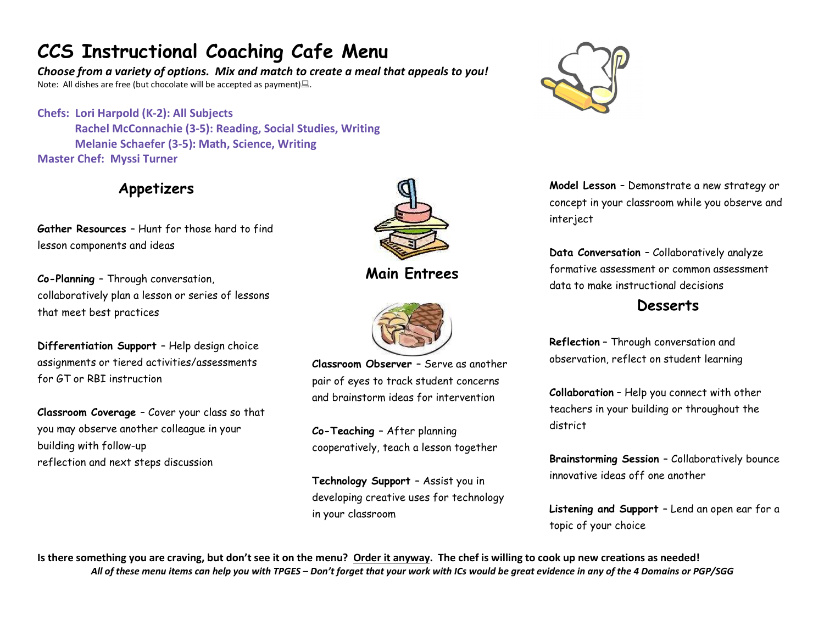# CCS Instructional Coaching Cafe Menu

Choose from a variety of options. Mix and match to create a meal that appeals to you! Note: All dishes are free (but chocolate will be accepted as payment) $\Box$ .

Chefs: Lori Harpold (K-2): All Subjects Rachel McConnachie (3-5): Reading, Social Studies, Writing Melanie Schaefer (3-5): Math, Science, Writing Master Chef: Myssi Turner

### Appetizers

Gather Resources – Hunt for those hard to find lesson components and ideas

Co-Planning – Through conversation, collaboratively plan a lesson or series of lessons that meet best practices

Differentiation Support – Help design choice assignments or tiered activities/assessments for GT or RBI instruction

Classroom Coverage – Cover your class so that you may observe another colleague in your building with follow-up reflection and next steps discussion



Main Entrees



Classroom Observer – Serve as another pair of eyes to track student concerns and brainstorm ideas for intervention

Co-Teaching – After planning cooperatively, teach a lesson together

Technology Support – Assist you in developing creative uses for technology in your classroom



Model Lesson – Demonstrate a new strategy or concept in your classroom while you observe and interject

Data Conversation – Collaboratively analyze formative assessment or common assessment data to make instructional decisions

**Desserts** 

Reflection – Through conversation and observation, reflect on student learning

Collaboration – Help you connect with other teachers in your building or throughout the district

Brainstorming Session – Collaboratively bounce innovative ideas off one another

Listening and Support – Lend an open ear for a topic of your choice

Is there something you are craving, but don't see it on the menu? Order it anyway. The chef is willing to cook up new creations as needed! All of these menu items can help you with TPGES – Don't forget that your work with ICs would be great evidence in any of the 4 Domains or PGP/SGG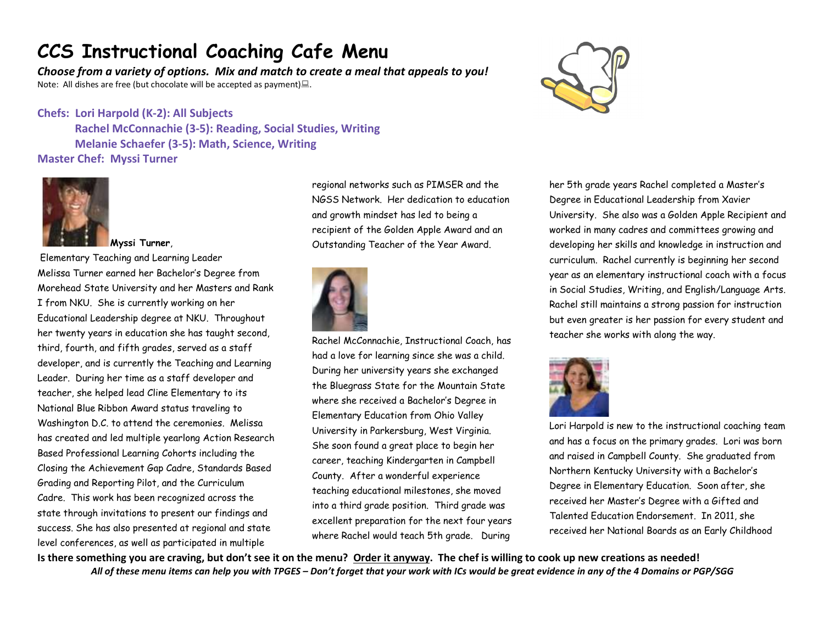### CCS Instructional Coaching Cafe Menu

Choose from a variety of options. Mix and match to create a meal that appeals to you! Note: All dishes are free (but chocolate will be accepted as payment) $\Box$ .

#### Chefs: Lori Harpold (K-2): All Subjects

Rachel McConnachie (3-5): Reading, Social Studies, Writing Melanie Schaefer (3-5): Math, Science, Writing Master Chef: Myssi Turner



Myssi Turner,

 Elementary Teaching and Learning Leader Melissa Turner earned her Bachelor's Degree from Morehead State University and her Masters and Rank I from NKU. She is currently working on her Educational Leadership degree at NKU. Throughout her twenty years in education she has taught second, third, fourth, and fifth grades, served as a staff developer, and is currently the Teaching and Learning Leader. During her time as a staff developer and teacher, she helped lead Cline Elementary to its National Blue Ribbon Award status traveling to Washington D.C. to attend the ceremonies. Melissa has created and led multiple yearlong Action Research Based Professional Learning Cohorts including the Closing the Achievement Gap Cadre, Standards Based Grading and Reporting Pilot, and the Curriculum Cadre. This work has been recognized across the state through invitations to present our findings and success. She has also presented at regional and state level conferences, as well as participated in multiple

regional networks such as PIMSER and the NGSS Network. Her dedication to education and growth mindset has led to being a recipient of the Golden Apple Award and an Outstanding Teacher of the Year Award.



Rachel McConnachie, Instructional Coach, has had a love for learning since she was a child. During her university years she exchanged the Bluegrass State for the Mountain State where she received a Bachelor's Degree in Elementary Education from Ohio Valley University in Parkersburg, West Virginia. She soon found a great place to begin her career, teaching Kindergarten in Campbell County. After a wonderful experience teaching educational milestones, she moved into a third grade position. Third grade was excellent preparation for the next four years where Rachel would teach 5th grade. During



her 5th grade years Rachel completed a Master's Degree in Educational Leadership from Xavier University. She also was a Golden Apple Recipient and worked in many cadres and committees growing and developing her skills and knowledge in instruction and curriculum. Rachel currently is beginning her second year as an elementary instructional coach with a focus in Social Studies, Writing, and English/Language Arts. Rachel still maintains a strong passion for instruction but even greater is her passion for every student and teacher she works with along the way.



Lori Harpold is new to the instructional coaching team and has a focus on the primary grades. Lori was born and raised in Campbell County. She graduated from Northern Kentucky University with a Bachelor's Degree in Elementary Education. Soon after, she received her Master's Degree with a Gifted and Talented Education Endorsement. In 2011, she received her National Boards as an Early Childhood

Is there something you are craving, but don't see it on the menu? Order it anyway. The chef is willing to cook up new creations as needed! All of these menu items can help you with TPGES – Don't forget that your work with ICs would be great evidence in any of the 4 Domains or PGP/SGG